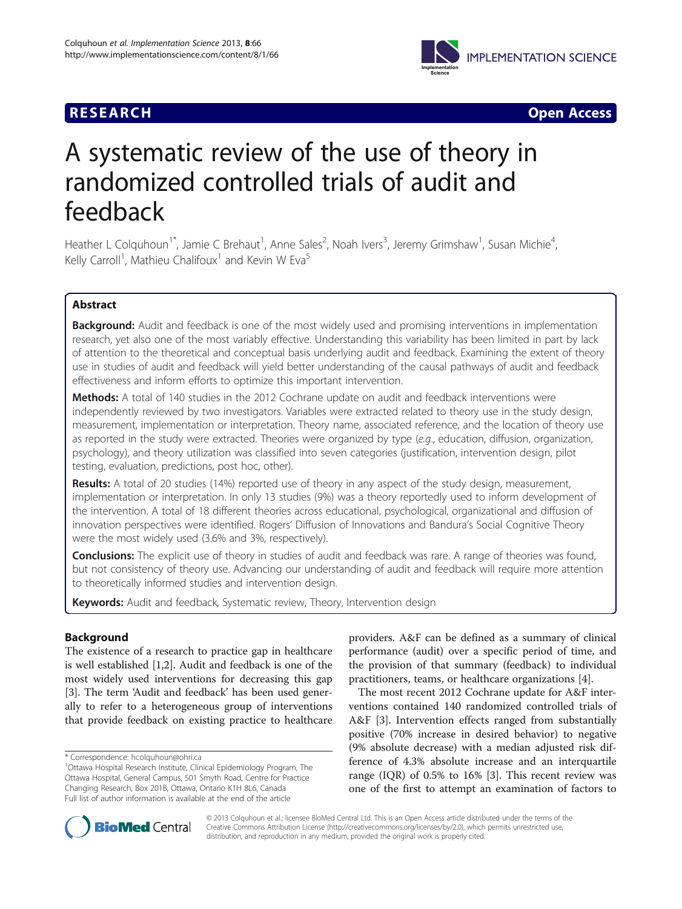## **RESEARCH CHE Open Access**



# A systematic review of the use of theory in randomized controlled trials of audit and feedback

Heather L Colquhoun<sup>1\*</sup>, Jamie C Brehaut<sup>1</sup>, Anne Sales<sup>2</sup>, Noah Ivers<sup>3</sup>, Jeremy Grimshaw<sup>1</sup>, Susan Michie<sup>4</sup> , Kelly Carroll<sup>1</sup>, Mathieu Chalifoux<sup>1</sup> and Kevin W Eva<sup>5</sup>

## Abstract

Background: Audit and feedback is one of the most widely used and promising interventions in implementation research, yet also one of the most variably effective. Understanding this variability has been limited in part by lack of attention to the theoretical and conceptual basis underlying audit and feedback. Examining the extent of theory use in studies of audit and feedback will yield better understanding of the causal pathways of audit and feedback effectiveness and inform efforts to optimize this important intervention.

Methods: A total of 140 studies in the 2012 Cochrane update on audit and feedback interventions were independently reviewed by two investigators. Variables were extracted related to theory use in the study design, measurement, implementation or interpretation. Theory name, associated reference, and the location of theory use as reported in the study were extracted. Theories were organized by type (e.g., education, diffusion, organization, psychology), and theory utilization was classified into seven categories (justification, intervention design, pilot testing, evaluation, predictions, post hoc, other).

Results: A total of 20 studies (14%) reported use of theory in any aspect of the study design, measurement, implementation or interpretation. In only 13 studies (9%) was a theory reportedly used to inform development of the intervention. A total of 18 different theories across educational, psychological, organizational and diffusion of innovation perspectives were identified. Rogers' Diffusion of Innovations and Bandura's Social Cognitive Theory were the most widely used (3.6% and 3%, respectively).

**Conclusions:** The explicit use of theory in studies of audit and feedback was rare. A range of theories was found, but not consistency of theory use. Advancing our understanding of audit and feedback will require more attention to theoretically informed studies and intervention design.

Keywords: Audit and feedback, Systematic review, Theory, Intervention design

## Background

The existence of a research to practice gap in healthcare is well established [\[1,2](#page-6-0)]. Audit and feedback is one of the most widely used interventions for decreasing this gap [[3\]](#page-6-0). The term 'Audit and feedback' has been used generally to refer to a heterogeneous group of interventions that provide feedback on existing practice to healthcare

\* Correspondence: [hcolquhoun@ohri.ca](mailto:hcolquhoun@ohri.ca) <sup>1</sup>

providers. A&F can be defined as a summary of clinical performance (audit) over a specific period of time, and the provision of that summary (feedback) to individual practitioners, teams, or healthcare organizations [\[4](#page-6-0)].

The most recent 2012 Cochrane update for A&F interventions contained 140 randomized controlled trials of A&F [\[3](#page-6-0)]. Intervention effects ranged from substantially positive (70% increase in desired behavior) to negative (9% absolute decrease) with a median adjusted risk difference of 4.3% absolute increase and an interquartile range (IQR) of 0.5% to 16% [\[3\]](#page-6-0). This recent review was one of the first to attempt an examination of factors to



© 2013 Colquhoun et al.; licensee BioMed Central Ltd. This is an Open Access article distributed under the terms of the Creative Commons Attribution License (<http://creativecommons.org/licenses/by/2.0>), which permits unrestricted use, distribution, and reproduction in any medium, provided the original work is properly cited.

<sup>&</sup>lt;sup>1</sup>Ottawa Hospital Research Institute, Clinical Epidemiology Program, The Ottawa Hospital, General Campus, 501 Smyth Road, Centre for Practice Changing Research, Box 201B, Ottawa, Ontario K1H 8L6, Canada Full list of author information is available at the end of the article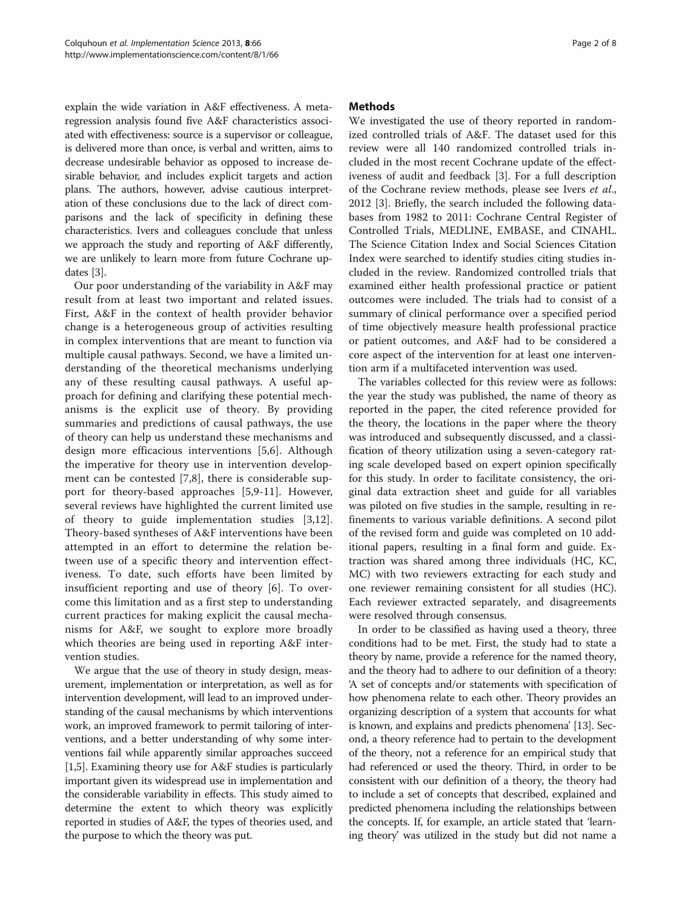explain the wide variation in A&F effectiveness. A metaregression analysis found five A&F characteristics associated with effectiveness: source is a supervisor or colleague, is delivered more than once, is verbal and written, aims to decrease undesirable behavior as opposed to increase desirable behavior, and includes explicit targets and action plans. The authors, however, advise cautious interpretation of these conclusions due to the lack of direct comparisons and the lack of specificity in defining these characteristics. Ivers and colleagues conclude that unless we approach the study and reporting of A&F differently, we are unlikely to learn more from future Cochrane updates [[3\]](#page-6-0).

Our poor understanding of the variability in A&F may result from at least two important and related issues. First, A&F in the context of health provider behavior change is a heterogeneous group of activities resulting in complex interventions that are meant to function via multiple causal pathways. Second, we have a limited understanding of the theoretical mechanisms underlying any of these resulting causal pathways. A useful approach for defining and clarifying these potential mechanisms is the explicit use of theory. By providing summaries and predictions of causal pathways, the use of theory can help us understand these mechanisms and design more efficacious interventions [\[5](#page-6-0),[6\]](#page-6-0). Although the imperative for theory use in intervention development can be contested [[7,8](#page-6-0)], there is considerable support for theory-based approaches [\[5](#page-6-0),[9-11](#page-6-0)]. However, several reviews have highlighted the current limited use of theory to guide implementation studies [[3,12](#page-6-0)]. Theory-based syntheses of A&F interventions have been attempted in an effort to determine the relation between use of a specific theory and intervention effectiveness. To date, such efforts have been limited by insufficient reporting and use of theory [\[6](#page-6-0)]. To overcome this limitation and as a first step to understanding current practices for making explicit the causal mechanisms for A&F, we sought to explore more broadly which theories are being used in reporting A&F intervention studies.

We argue that the use of theory in study design, measurement, implementation or interpretation, as well as for intervention development, will lead to an improved understanding of the causal mechanisms by which interventions work, an improved framework to permit tailoring of interventions, and a better understanding of why some interventions fail while apparently similar approaches succeed [[1,5](#page-6-0)]. Examining theory use for A&F studies is particularly important given its widespread use in implementation and the considerable variability in effects. This study aimed to determine the extent to which theory was explicitly reported in studies of A&F, the types of theories used, and the purpose to which the theory was put.

## Methods

We investigated the use of theory reported in randomized controlled trials of A&F. The dataset used for this review were all 140 randomized controlled trials included in the most recent Cochrane update of the effectiveness of audit and feedback [[3\]](#page-6-0). For a full description of the Cochrane review methods, please see Ivers *et al.*, 2012 [[3\]](#page-6-0). Briefly, the search included the following databases from 1982 to 2011: Cochrane Central Register of Controlled Trials, MEDLINE, EMBASE, and CINAHL. The Science Citation Index and Social Sciences Citation Index were searched to identify studies citing studies included in the review. Randomized controlled trials that examined either health professional practice or patient outcomes were included. The trials had to consist of a summary of clinical performance over a specified period of time objectively measure health professional practice or patient outcomes, and A&F had to be considered a core aspect of the intervention for at least one intervention arm if a multifaceted intervention was used.

The variables collected for this review were as follows: the year the study was published, the name of theory as reported in the paper, the cited reference provided for the theory, the locations in the paper where the theory was introduced and subsequently discussed, and a classification of theory utilization using a seven-category rating scale developed based on expert opinion specifically for this study. In order to facilitate consistency, the original data extraction sheet and guide for all variables was piloted on five studies in the sample, resulting in refinements to various variable definitions. A second pilot of the revised form and guide was completed on 10 additional papers, resulting in a final form and guide. Extraction was shared among three individuals (HC, KC, MC) with two reviewers extracting for each study and one reviewer remaining consistent for all studies (HC). Each reviewer extracted separately, and disagreements were resolved through consensus.

In order to be classified as having used a theory, three conditions had to be met. First, the study had to state a theory by name, provide a reference for the named theory, and the theory had to adhere to our definition of a theory: 'A set of concepts and/or statements with specification of how phenomena relate to each other. Theory provides an organizing description of a system that accounts for what is known, and explains and predicts phenomena' [\[13\]](#page-6-0). Second, a theory reference had to pertain to the development of the theory, not a reference for an empirical study that had referenced or used the theory. Third, in order to be consistent with our definition of a theory, the theory had to include a set of concepts that described, explained and predicted phenomena including the relationships between the concepts. If, for example, an article stated that 'learning theory' was utilized in the study but did not name a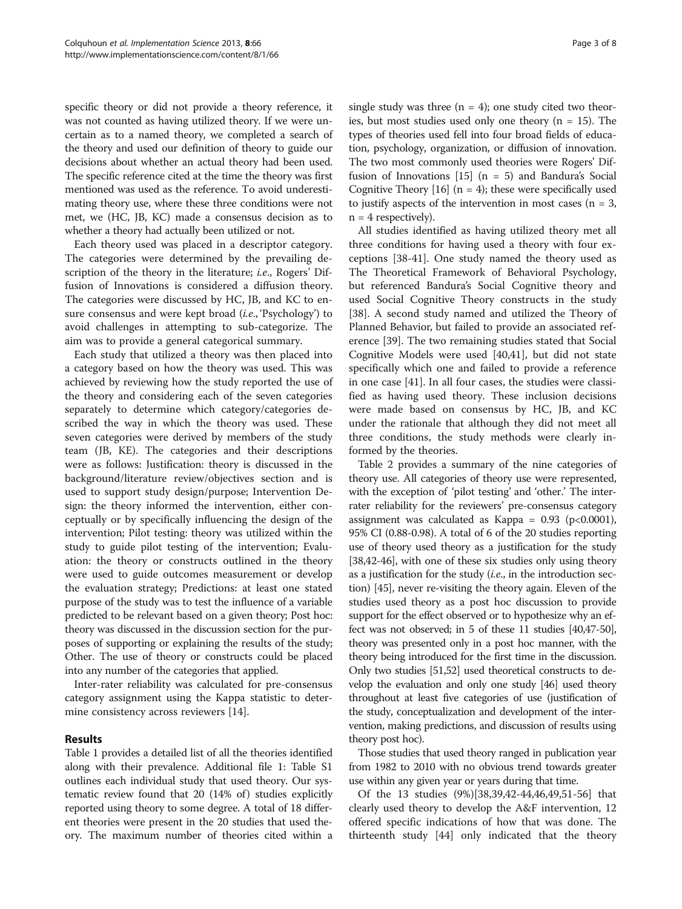specific theory or did not provide a theory reference, it was not counted as having utilized theory. If we were uncertain as to a named theory, we completed a search of the theory and used our definition of theory to guide our decisions about whether an actual theory had been used. The specific reference cited at the time the theory was first mentioned was used as the reference. To avoid underestimating theory use, where these three conditions were not met, we (HC, JB, KC) made a consensus decision as to whether a theory had actually been utilized or not.

Each theory used was placed in a descriptor category. The categories were determined by the prevailing description of the theory in the literature; *i.e.*, Rogers' Diffusion of Innovations is considered a diffusion theory. The categories were discussed by HC, JB, and KC to ensure consensus and were kept broad (i.e., 'Psychology') to avoid challenges in attempting to sub-categorize. The aim was to provide a general categorical summary.

Each study that utilized a theory was then placed into a category based on how the theory was used. This was achieved by reviewing how the study reported the use of the theory and considering each of the seven categories separately to determine which category/categories described the way in which the theory was used. These seven categories were derived by members of the study team (JB, KE). The categories and their descriptions were as follows: Justification: theory is discussed in the background/literature review/objectives section and is used to support study design/purpose; Intervention Design: the theory informed the intervention, either conceptually or by specifically influencing the design of the intervention; Pilot testing: theory was utilized within the study to guide pilot testing of the intervention; Evaluation: the theory or constructs outlined in the theory were used to guide outcomes measurement or develop the evaluation strategy; Predictions: at least one stated purpose of the study was to test the influence of a variable predicted to be relevant based on a given theory; Post hoc: theory was discussed in the discussion section for the purposes of supporting or explaining the results of the study; Other. The use of theory or constructs could be placed into any number of the categories that applied.

Inter-rater reliability was calculated for pre-consensus category assignment using the Kappa statistic to determine consistency across reviewers [[14](#page-6-0)].

## Results

Table [1](#page-3-0) provides a detailed list of all the theories identified along with their prevalence. Additional file [1](#page-5-0): Table S1 outlines each individual study that used theory. Our systematic review found that 20 (14% of) studies explicitly reported using theory to some degree. A total of 18 different theories were present in the 20 studies that used theory. The maximum number of theories cited within a

single study was three  $(n = 4)$ ; one study cited two theories, but most studies used only one theory  $(n = 15)$ . The types of theories used fell into four broad fields of education, psychology, organization, or diffusion of innovation. The two most commonly used theories were Rogers' Diffusion of Innovations  $[15]$  $[15]$  $[15]$  (n = 5) and Bandura's Social Cognitive Theory [\[16\]](#page-6-0)  $(n = 4)$ ; these were specifically used to justify aspects of the intervention in most cases  $(n = 3,$  $n = 4$  respectively).

All studies identified as having utilized theory met all three conditions for having used a theory with four exceptions [\[38](#page-6-0)-[41\]](#page-6-0). One study named the theory used as The Theoretical Framework of Behavioral Psychology, but referenced Bandura's Social Cognitive theory and used Social Cognitive Theory constructs in the study [[38\]](#page-6-0). A second study named and utilized the Theory of Planned Behavior, but failed to provide an associated reference [[39](#page-6-0)]. The two remaining studies stated that Social Cognitive Models were used [[40,41](#page-6-0)], but did not state specifically which one and failed to provide a reference in one case [[41](#page-6-0)]. In all four cases, the studies were classified as having used theory. These inclusion decisions were made based on consensus by HC, JB, and KC under the rationale that although they did not meet all three conditions, the study methods were clearly informed by the theories.

Table [2](#page-3-0) provides a summary of the nine categories of theory use. All categories of theory use were represented, with the exception of 'pilot testing' and 'other.' The interrater reliability for the reviewers' pre-consensus category assignment was calculated as Kappa =  $0.93$  (p<0.0001), 95% CI (0.88-0.98). A total of 6 of the 20 studies reporting use of theory used theory as a justification for the study [[38,42](#page-6-0)-[46](#page-6-0)], with one of these six studies only using theory as a justification for the study  $(i.e.,$  in the introduction section) [[45](#page-6-0)], never re-visiting the theory again. Eleven of the studies used theory as a post hoc discussion to provide support for the effect observed or to hypothesize why an effect was not observed; in 5 of these 11 studies [[40,47-50](#page-6-0)], theory was presented only in a post hoc manner, with the theory being introduced for the first time in the discussion. Only two studies [\[51,](#page-6-0)[52](#page-7-0)] used theoretical constructs to develop the evaluation and only one study [\[46\]](#page-6-0) used theory throughout at least five categories of use (justification of the study, conceptualization and development of the intervention, making predictions, and discussion of results using theory post hoc).

Those studies that used theory ranged in publication year from 1982 to 2010 with no obvious trend towards greater use within any given year or years during that time.

Of the 13 studies (9%)[\[38,39,42](#page-6-0)-[44,46,49](#page-6-0),[51](#page-6-0)[-56\]](#page-7-0) that clearly used theory to develop the A&F intervention, 12 offered specific indications of how that was done. The thirteenth study [\[44](#page-6-0)] only indicated that the theory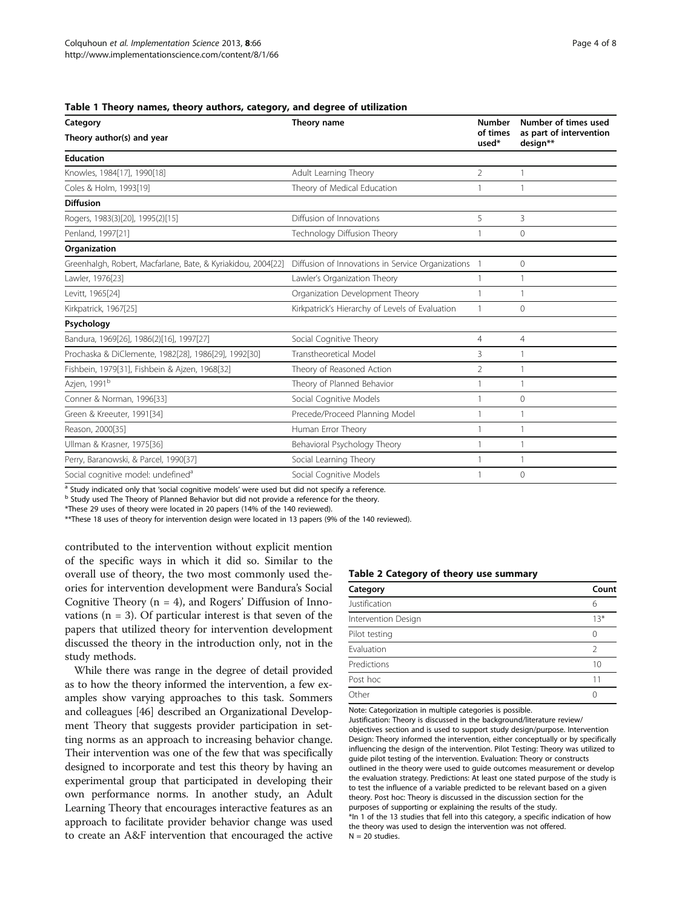#### <span id="page-3-0"></span>Table 1 Theory names, theory authors, category, and degree of utilization

| Category                                                     | Theory name                                       | <b>Number</b>     | Number of times used                |
|--------------------------------------------------------------|---------------------------------------------------|-------------------|-------------------------------------|
| Theory author(s) and year                                    |                                                   | of times<br>used* | as part of intervention<br>design** |
| <b>Education</b>                                             |                                                   |                   |                                     |
| Knowles, 1984[17], 1990[18]                                  | Adult Learning Theory                             | $\overline{2}$    | 1                                   |
| Coles & Holm, 1993[19]                                       | Theory of Medical Education                       | 1                 | 1                                   |
| <b>Diffusion</b>                                             |                                                   |                   |                                     |
| Rogers, 1983(3)[20], 1995(2)[15]                             | Diffusion of Innovations                          | 5                 | 3                                   |
| Penland, 1997[21]                                            | Technology Diffusion Theory                       | 1                 | $\circ$                             |
| Organization                                                 |                                                   |                   |                                     |
| Greenhalgh, Robert, Macfarlane, Bate, & Kyriakidou, 2004[22] | Diffusion of Innovations in Service Organizations |                   | $\circ$                             |
| Lawler, 1976[23]                                             | Lawler's Organization Theory                      |                   | 1                                   |
| Levitt, 1965[24]                                             | Organization Development Theory                   | 1                 | $\mathbf{1}$                        |
| Kirkpatrick, 1967[25]                                        | Kirkpatrick's Hierarchy of Levels of Evaluation   |                   | 0                                   |
| Psychology                                                   |                                                   |                   |                                     |
| Bandura, 1969[26], 1986(2)[16], 1997[27]                     | Social Cognitive Theory                           | $\overline{4}$    | 4                                   |
| Prochaska & DiClemente, 1982[28], 1986[29], 1992[30]         | Transtheoretical Model                            | 3                 | $\mathbf{1}$                        |
| Fishbein, 1979[31], Fishbein & Ajzen, 1968[32]               | Theory of Reasoned Action                         | $\overline{2}$    | $\mathbf{1}$                        |
| Azjen, 1991 <sup>b</sup>                                     | Theory of Planned Behavior                        | $\mathbf{1}$      | $\mathbf{1}$                        |
| Conner & Norman, 1996[33]                                    | Social Cognitive Models                           | 1                 | $\mathbf 0$                         |
| Green & Kreeuter, 1991[34]                                   | Precede/Proceed Planning Model                    | $\mathbf{1}$      | 1                                   |
| Reason, 2000[35]                                             | Human Error Theory                                | 1                 | $\mathbf{1}$                        |
| Ullman & Krasner, 1975[36]                                   | Behavioral Psychology Theory                      | $\mathbf{1}$      | $\mathbf{1}$                        |
| Perry, Baranowski, & Parcel, 1990[37]                        | Social Learning Theory                            | 1                 | 1                                   |
| Social cognitive model: undefined <sup>a</sup>               | Social Cognitive Models                           | $\mathbf{1}$      | $\mathbf 0$                         |

<sup>a</sup> Study indicated only that 'social cognitive models' were used but did not specify a reference. b Study used The Theory of Planned Behavior but did not provide a reference for the theory.

\*These 29 uses of theory were located in 20 papers (14% of the 140 reviewed).

\*\*These 18 uses of theory for intervention design were located in 13 papers (9% of the 140 reviewed).

contributed to the intervention without explicit mention of the specific ways in which it did so. Similar to the overall use of theory, the two most commonly used theories for intervention development were Bandura's Social Cognitive Theory ( $n = 4$ ), and Rogers' Diffusion of Innovations ( $n = 3$ ). Of particular interest is that seven of the papers that utilized theory for intervention development discussed the theory in the introduction only, not in the study methods.

While there was range in the degree of detail provided as to how the theory informed the intervention, a few examples show varying approaches to this task. Sommers and colleagues [[46](#page-6-0)] described an Organizational Development Theory that suggests provider participation in setting norms as an approach to increasing behavior change. Their intervention was one of the few that was specifically designed to incorporate and test this theory by having an experimental group that participated in developing their own performance norms. In another study, an Adult Learning Theory that encourages interactive features as an approach to facilitate provider behavior change was used to create an A&F intervention that encouraged the active

#### Table 2 Category of theory use summary

| Category            | Count |
|---------------------|-------|
| Justification       | 6     |
| Intervention Design | $13*$ |
| Pilot testing       | 0     |
| Evaluation          | 2     |
| Predictions         | 10    |
| Post hoc            | 11    |
| Other               | Ω     |

Note: Categorization in multiple categories is possible.

Justification: Theory is discussed in the background/literature review/ objectives section and is used to support study design/purpose. Intervention Design: Theory informed the intervention, either conceptually or by specifically influencing the design of the intervention. Pilot Testing: Theory was utilized to guide pilot testing of the intervention. Evaluation: Theory or constructs outlined in the theory were used to guide outcomes measurement or develop the evaluation strategy. Predictions: At least one stated purpose of the study is to test the influence of a variable predicted to be relevant based on a given theory. Post hoc: Theory is discussed in the discussion section for the purposes of supporting or explaining the results of the study. \*In 1 of the 13 studies that fell into this category, a specific indication of how the theory was used to design the intervention was not offered.  $N = 20$  studies.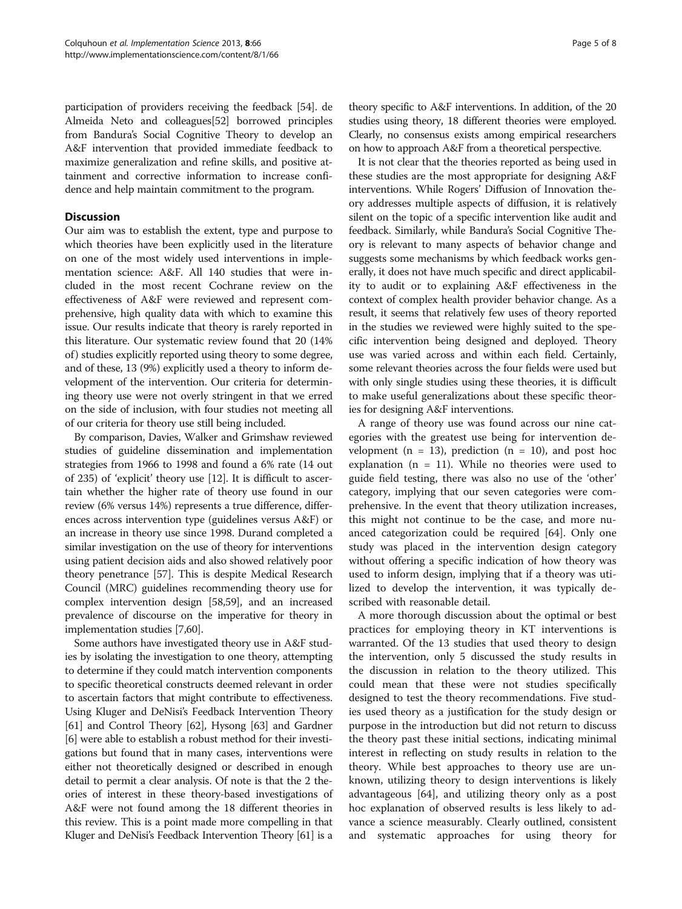participation of providers receiving the feedback [\[54\]](#page-7-0). de Almeida Neto and colleagues[[52](#page-7-0)] borrowed principles from Bandura's Social Cognitive Theory to develop an A&F intervention that provided immediate feedback to maximize generalization and refine skills, and positive attainment and corrective information to increase confidence and help maintain commitment to the program.

## **Discussion**

Our aim was to establish the extent, type and purpose to which theories have been explicitly used in the literature on one of the most widely used interventions in implementation science: A&F. All 140 studies that were included in the most recent Cochrane review on the effectiveness of A&F were reviewed and represent comprehensive, high quality data with which to examine this issue. Our results indicate that theory is rarely reported in this literature. Our systematic review found that 20 (14% of ) studies explicitly reported using theory to some degree, and of these, 13 (9%) explicitly used a theory to inform development of the intervention. Our criteria for determining theory use were not overly stringent in that we erred on the side of inclusion, with four studies not meeting all of our criteria for theory use still being included.

By comparison, Davies, Walker and Grimshaw reviewed studies of guideline dissemination and implementation strategies from 1966 to 1998 and found a 6% rate (14 out of 235) of 'explicit' theory use [[12](#page-6-0)]. It is difficult to ascertain whether the higher rate of theory use found in our review (6% versus 14%) represents a true difference, differences across intervention type (guidelines versus A&F) or an increase in theory use since 1998. Durand completed a similar investigation on the use of theory for interventions using patient decision aids and also showed relatively poor theory penetrance [[57](#page-7-0)]. This is despite Medical Research Council (MRC) guidelines recommending theory use for complex intervention design [\[58,59](#page-7-0)], and an increased prevalence of discourse on the imperative for theory in implementation studies [\[7,](#page-6-0)[60](#page-7-0)].

Some authors have investigated theory use in A&F studies by isolating the investigation to one theory, attempting to determine if they could match intervention components to specific theoretical constructs deemed relevant in order to ascertain factors that might contribute to effectiveness. Using Kluger and DeNisi's Feedback Intervention Theory [[61](#page-7-0)] and Control Theory [[62](#page-7-0)], Hysong [[63](#page-7-0)] and Gardner [[6\]](#page-6-0) were able to establish a robust method for their investigations but found that in many cases, interventions were either not theoretically designed or described in enough detail to permit a clear analysis. Of note is that the 2 theories of interest in these theory-based investigations of A&F were not found among the 18 different theories in this review. This is a point made more compelling in that Kluger and DeNisi's Feedback Intervention Theory [\[61\]](#page-7-0) is a theory specific to A&F interventions. In addition, of the 20 studies using theory, 18 different theories were employed. Clearly, no consensus exists among empirical researchers on how to approach A&F from a theoretical perspective.

It is not clear that the theories reported as being used in these studies are the most appropriate for designing A&F interventions. While Rogers' Diffusion of Innovation theory addresses multiple aspects of diffusion, it is relatively silent on the topic of a specific intervention like audit and feedback. Similarly, while Bandura's Social Cognitive Theory is relevant to many aspects of behavior change and suggests some mechanisms by which feedback works generally, it does not have much specific and direct applicability to audit or to explaining A&F effectiveness in the context of complex health provider behavior change. As a result, it seems that relatively few uses of theory reported in the studies we reviewed were highly suited to the specific intervention being designed and deployed. Theory use was varied across and within each field. Certainly, some relevant theories across the four fields were used but with only single studies using these theories, it is difficult to make useful generalizations about these specific theories for designing A&F interventions.

A range of theory use was found across our nine categories with the greatest use being for intervention development ( $n = 13$ ), prediction ( $n = 10$ ), and post hoc explanation ( $n = 11$ ). While no theories were used to guide field testing, there was also no use of the 'other' category, implying that our seven categories were comprehensive. In the event that theory utilization increases, this might not continue to be the case, and more nuanced categorization could be required [\[64\]](#page-7-0). Only one study was placed in the intervention design category without offering a specific indication of how theory was used to inform design, implying that if a theory was utilized to develop the intervention, it was typically described with reasonable detail.

A more thorough discussion about the optimal or best practices for employing theory in KT interventions is warranted. Of the 13 studies that used theory to design the intervention, only 5 discussed the study results in the discussion in relation to the theory utilized. This could mean that these were not studies specifically designed to test the theory recommendations. Five studies used theory as a justification for the study design or purpose in the introduction but did not return to discuss the theory past these initial sections, indicating minimal interest in reflecting on study results in relation to the theory. While best approaches to theory use are unknown, utilizing theory to design interventions is likely advantageous [[64](#page-7-0)], and utilizing theory only as a post hoc explanation of observed results is less likely to advance a science measurably. Clearly outlined, consistent and systematic approaches for using theory for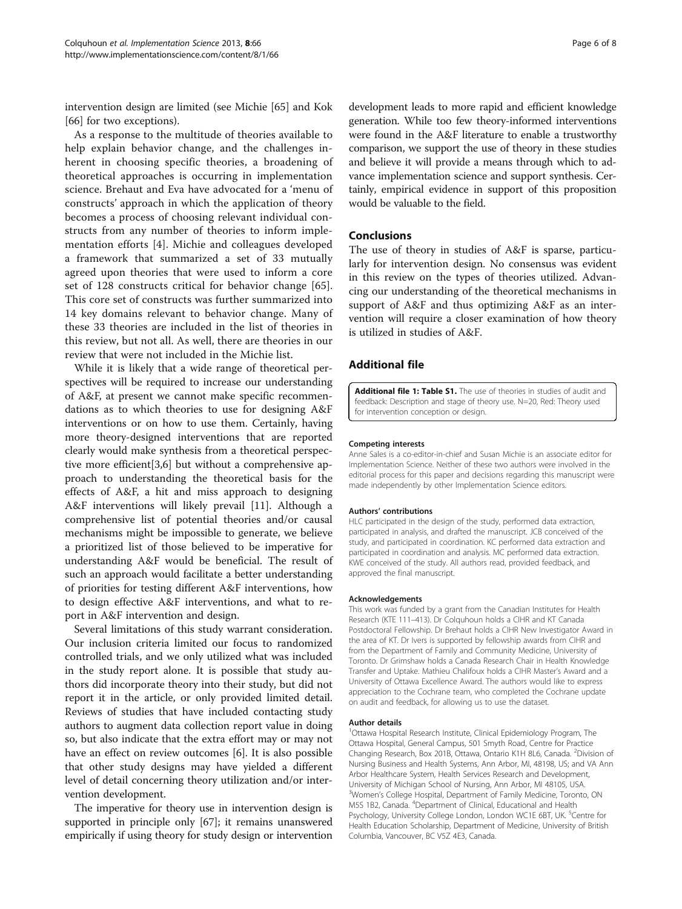<span id="page-5-0"></span>intervention design are limited (see Michie [[65\]](#page-7-0) and Kok [[66\]](#page-7-0) for two exceptions).

As a response to the multitude of theories available to help explain behavior change, and the challenges inherent in choosing specific theories, a broadening of theoretical approaches is occurring in implementation science. Brehaut and Eva have advocated for a 'menu of constructs' approach in which the application of theory becomes a process of choosing relevant individual constructs from any number of theories to inform implementation efforts [[4\]](#page-6-0). Michie and colleagues developed a framework that summarized a set of 33 mutually agreed upon theories that were used to inform a core set of 128 constructs critical for behavior change [\[65](#page-7-0)]. This core set of constructs was further summarized into 14 key domains relevant to behavior change. Many of these 33 theories are included in the list of theories in this review, but not all. As well, there are theories in our review that were not included in the Michie list.

While it is likely that a wide range of theoretical perspectives will be required to increase our understanding of A&F, at present we cannot make specific recommendations as to which theories to use for designing A&F interventions or on how to use them. Certainly, having more theory-designed interventions that are reported clearly would make synthesis from a theoretical perspective more efficient[[3,6\]](#page-6-0) but without a comprehensive approach to understanding the theoretical basis for the effects of A&F, a hit and miss approach to designing A&F interventions will likely prevail [\[11\]](#page-6-0). Although a comprehensive list of potential theories and/or causal mechanisms might be impossible to generate, we believe a prioritized list of those believed to be imperative for understanding A&F would be beneficial. The result of such an approach would facilitate a better understanding of priorities for testing different A&F interventions, how to design effective A&F interventions, and what to report in A&F intervention and design.

Several limitations of this study warrant consideration. Our inclusion criteria limited our focus to randomized controlled trials, and we only utilized what was included in the study report alone. It is possible that study authors did incorporate theory into their study, but did not report it in the article, or only provided limited detail. Reviews of studies that have included contacting study authors to augment data collection report value in doing so, but also indicate that the extra effort may or may not have an effect on review outcomes [\[6](#page-6-0)]. It is also possible that other study designs may have yielded a different level of detail concerning theory utilization and/or intervention development.

The imperative for theory use in intervention design is supported in principle only [\[67](#page-7-0)]; it remains unanswered empirically if using theory for study design or intervention development leads to more rapid and efficient knowledge generation. While too few theory-informed interventions were found in the A&F literature to enable a trustworthy comparison, we support the use of theory in these studies and believe it will provide a means through which to advance implementation science and support synthesis. Certainly, empirical evidence in support of this proposition would be valuable to the field.

## Conclusions

The use of theory in studies of A&F is sparse, particularly for intervention design. No consensus was evident in this review on the types of theories utilized. Advancing our understanding of the theoretical mechanisms in support of A&F and thus optimizing A&F as an intervention will require a closer examination of how theory is utilized in studies of A&F.

## Additional file

[Additional file 1: Table S1.](http://www.biomedcentral.com/content/supplementary/1748-5908-8-66-S1.docx) The use of theories in studies of audit and feedback: Description and stage of theory use. N=20, Red: Theory used for intervention conception or design.

#### Competing interests

Anne Sales is a co-editor-in-chief and Susan Michie is an associate editor for Implementation Science. Neither of these two authors were involved in the editorial process for this paper and decisions regarding this manuscript were made independently by other Implementation Science editors.

#### Authors' contributions

HLC participated in the design of the study, performed data extraction, participated in analysis, and drafted the manuscript. JCB conceived of the study, and participated in coordination. KC performed data extraction and participated in coordination and analysis. MC performed data extraction. KWE conceived of the study. All authors read, provided feedback, and approved the final manuscript.

#### Acknowledgements

This work was funded by a grant from the Canadian Institutes for Health Research (KTE 111–413). Dr Colquhoun holds a CIHR and KT Canada Postdoctoral Fellowship. Dr Brehaut holds a CIHR New Investigator Award in the area of KT. Dr Ivers is supported by fellowship awards from CIHR and from the Department of Family and Community Medicine, University of Toronto. Dr Grimshaw holds a Canada Research Chair in Health Knowledge Transfer and Uptake. Mathieu Chalifoux holds a CIHR Master's Award and a University of Ottawa Excellence Award. The authors would like to express appreciation to the Cochrane team, who completed the Cochrane update on audit and feedback, for allowing us to use the dataset.

#### Author details

<sup>1</sup>Ottawa Hospital Research Institute, Clinical Epidemiology Program, The Ottawa Hospital, General Campus, 501 Smyth Road, Centre for Practice Changing Research, Box 201B, Ottawa, Ontario K1H 8L6, Canada. <sup>2</sup>Division of Nursing Business and Health Systems, Ann Arbor, MI, 48198, US; and VA Ann Arbor Healthcare System, Health Services Research and Development, University of Michigan School of Nursing, Ann Arbor, MI 48105, USA. <sup>3</sup>Women's College Hospital, Department of Family Medicine, Toronto, ON M5S 1B2, Canada. <sup>4</sup> Department of Clinical, Educational and Health Psychology, University College London, London WC1E 6BT, UK. <sup>5</sup>Centre for Health Education Scholarship, Department of Medicine, University of British Columbia, Vancouver, BC V5Z 4E3, Canada.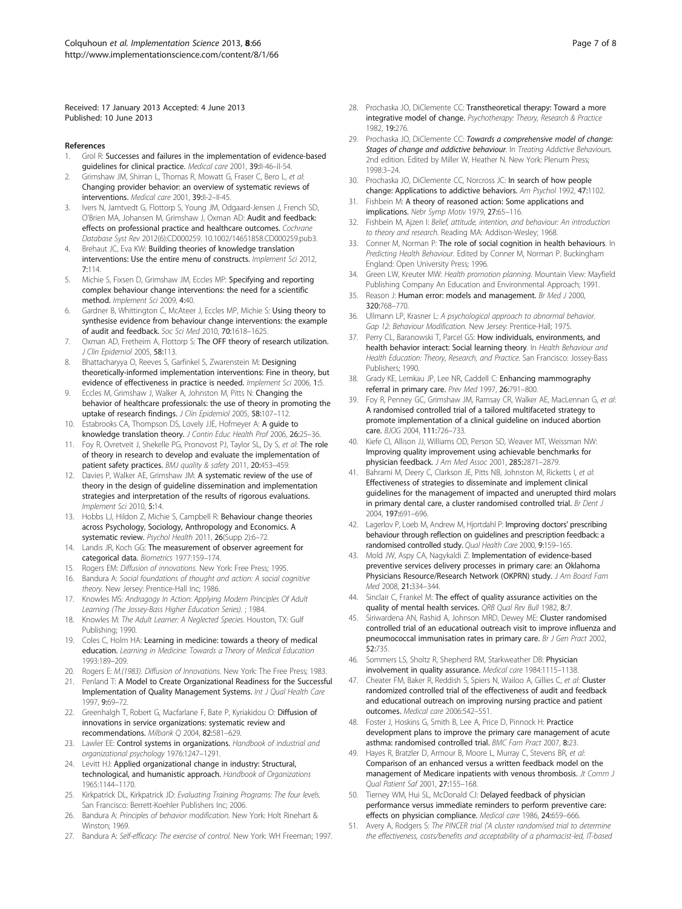<span id="page-6-0"></span>Received: 17 January 2013 Accepted: 4 June 2013 Published: 10 June 2013

#### References

- 1. Grol R: Successes and failures in the implementation of evidence-based guidelines for clinical practice. Medical care 2001, 39:II-46–II-54.
- 2. Grimshaw JM, Shirran L, Thomas R, Mowatt G, Fraser C, Bero L, et al: Changing provider behavior: an overview of systematic reviews of interventions. Medical care 2001, 39:II-2–II-45.
- 3. Ivers N, Jamtvedt G, Flottorp S, Young JM, Odgaard-Jensen J, French SD, O'Brien MA, Johansen M, Grimshaw J, Oxman AD: Audit and feedback: effects on professional practice and healthcare outcomes. Cochrane Database Syst Rev 2012(6):CD000259. 10.1002/14651858.CD000259.pub3.
- Brehaut JC, Eva KW: Building theories of knowledge translation interventions: Use the entire menu of constructs. Implement Sci 2012, 7:114.
- 5. Michie S, Fixsen D, Grimshaw JM, Eccles MP: Specifying and reporting complex behaviour change interventions: the need for a scientific method. Implement Sci 2009, 4:40.
- 6. Gardner B, Whittington C, McAteer J, Eccles MP, Michie S: Using theory to synthesise evidence from behaviour change interventions: the example of audit and feedback. Soc Sci Med 2010, 70:1618–1625.
- 7. Oxman AD, Fretheim A, Flottorp S: The OFF theory of research utilization. J Clin Epidemiol 2005, 58:113.
- 8. Bhattacharyya O, Reeves S, Garfinkel S, Zwarenstein M: Designing theoretically-informed implementation interventions: Fine in theory, but evidence of effectiveness in practice is needed. Implement Sci 2006, 1:5.
- 9. Eccles M, Grimshaw J, Walker A, Johnston M, Pitts N: Changing the behavior of healthcare professionals: the use of theory in promoting the uptake of research findings. J Clin Epidemiol 2005, 58:107-112.
- 10. Estabrooks CA, Thompson DS, Lovely JJE, Hofmeyer A: A guide to knowledge translation theory. J Contin Educ Health Prof 2006, 26:25–36.
- 11. Foy R, Ovretveit J, Shekelle PG, Pronovost PJ, Taylor SL, Dy S, et al: The role of theory in research to develop and evaluate the implementation of patient safety practices. BMJ quality & safety 2011, 20:453-459.
- 12. Davies P, Walker AE, Grimshaw JM: A systematic review of the use of theory in the design of guideline dissemination and implementation strategies and interpretation of the results of rigorous evaluations. Implement Sci 2010, 5:14.
- 13. Hobbs LJ, Hildon Z, Michie S, Campbell R: Behaviour change theories across Psychology, Sociology, Anthropology and Economics. A systematic review. Psychol Health 2011, 26(Supp 2):6–72.
- 14. Landis JR, Koch GG: The measurement of observer agreement for categorical data. Biometrics 1977:159–174.
- 15. Rogers EM: Diffusion of innovations. New York: Free Press; 1995.
- 16. Bandura A: Social foundations of thought and action: A social cognitive theory. New Jersey: Prentice-Hall Inc; 1986.
- 17. Knowles MS: Andragogy In Action: Applying Modern Principles Of Adult Learning (The Jossey-Bass Higher Education Series). ; 1984.
- 18. Knowles M: The Adult Learner: A Neglected Species. Houston, TX: Gulf Publishing; 1990.
- 19. Coles C, Holm HA: Learning in medicine: towards a theory of medical education. Learning in Medicine: Towards a Theory of Medical Education 1993:189–209.
- 20. Rogers E: M.(1983). Diffusion of Innovations. New York: The Free Press; 1983.
- 21. Penland T: A Model to Create Organizational Readiness for the Successful Implementation of Quality Management Systems. Int J Qual Health Care 1997, 9:69–72.
- 22. Greenhalgh T, Robert G, Macfarlane F, Bate P, Kyriakidou O: Diffusion of innovations in service organizations: systematic review and recommendations. Milbank Q 2004, 82:581–629.
- 23. Lawler EE: Control systems in organizations. Handbook of industrial and organizational psychology 1976:1247–1291.
- 24. Levitt HJ: Applied organizational change in industry: Structural, technological, and humanistic approach. Handbook of Organizations 1965:1144–1170.
- 25. Kirkpatrick DL, Kirkpatrick JD: Evaluating Training Programs: The four levels. San Francisco: Berrett-Koehler Publishers Inc; 2006.
- 26. Bandura A: Principles of behavior modification. New York: Holt Rinehart & Winston; 1969.
- 27. Bandura A: Self-efficacy: The exercise of control. New York: WH Freeman; 1997.
- 
- 28. Prochaska JO, DiClemente CC: Transtheoretical therapy: Toward a more integrative model of change. Psychotherapy: Theory, Research & Practice 1982, 19:276.
- 29. Prochaska JO, DiClemente CC: Towards a comprehensive model of change: Stages of change and addictive behaviour. In Treating Addictive Behaviours. 2nd edition. Edited by Miller W, Heather N. New York: Plenum Press; 1998:3–24.
- 30. Prochaska JO, DiClemente CC, Norcross JC: In search of how people change: Applications to addictive behaviors. Am Psychol 1992, 47:1102.
- 31. Fishbein M: A theory of reasoned action: Some applications and implications. Nebr Symp Motiv 1979, 27:65-116.
- 32. Fishbein M, Ajzen I: Belief, attitude, intention, and behaviour: An introduction to theory and research. Reading MA: Addison-Wesley; 1968.
- 33. Conner M, Norman P: The role of social cognition in health behaviours. In Predicting Health Behaviour. Edited by Conner M, Norman P. Buckingham England: Open University Press; 1996.
- 34. Green LW, Kreuter MW: Health promotion planning. Mountain View: Mayfield Publishing Company An Education and Environmental Approach; 1991.
- 35. Reason J: Human error: models and management. Br Med J 2000, 320:768–770.
- 36. Ullmann LP, Krasner L: A psychological approach to abnormal behavior. Gap 12: Behaviour Modification. New Jersey: Prentice-Hall; 1975.
- 37. Perry CL, Baranowski T, Parcel GS: How individuals, environments, and health behavior interact: Social learning theory. In Health Behaviour and Health Education: Theory, Research, and Practice. San Francisco: Jossey-Bass Publishers; 1990.
- 38. Grady KE, Lemkau JP, Lee NR, Caddell C: Enhancing mammography referral in primary care. Prev Med 1997, 26:791–800.
- 39. Foy R, Penney GC, Grimshaw JM, Ramsay CR, Walker AE, MacLennan G, et al: A randomised controlled trial of a tailored multifaceted strategy to promote implementation of a clinical guideline on induced abortion care. BJOG 2004, 111:726–733.
- 40. Kiefe CI, Allison JJ, Williams OD, Person SD, Weaver MT, Weissman NW: Improving quality improvement using achievable benchmarks for physician feedback. J Am Med Assoc 2001, 285:2871–2879.
- 41. Bahrami M, Deery C, Clarkson JE, Pitts NB, Johnston M, Ricketts I, et al: Effectiveness of strategies to disseminate and implement clinical guidelines for the management of impacted and unerupted third molars in primary dental care, a cluster randomised controlled trial. Br Dent J 2004, 197:691–696.
- 42. Lagerlov P, Loeb M, Andrew M, Hjortdahl P: Improving doctors' prescribing behaviour through reflection on guidelines and prescription feedback: a randomised controlled study. Qual Health Care 2000, 9:159–165.
- 43. Mold JW, Aspy CA, Nagykaldi Z: Implementation of evidence-based preventive services delivery processes in primary care: an Oklahoma Physicians Resource/Research Network (OKPRN) study. J Am Board Fam Med 2008, 21:334–344.
- 44. Sinclair C, Frankel M: The effect of quality assurance activities on the quality of mental health services. QRB Qual Rev Bull 1982, 8:7.
- 45. Siriwardena AN, Rashid A, Johnson MRD, Dewey ME: Cluster randomised controlled trial of an educational outreach visit to improve influenza and pneumococcal immunisation rates in primary care. Br J Gen Pract 2002, 52:735.
- 46. Sommers LS, Sholtz R, Shepherd RM, Starkweather DB: Physician involvement in quality assurance. Medical care 1984:1115–1138.
- 47. Cheater FM, Baker R, Reddish S, Spiers N, Wailoo A, Gillies C, et al: Cluster randomized controlled trial of the effectiveness of audit and feedback and educational outreach on improving nursing practice and patient outcomes. Medical care 2006:542–551.
- 48. Foster J, Hoskins G, Smith B, Lee A, Price D, Pinnock H: Practice development plans to improve the primary care management of acute asthma: randomised controlled trial. BMC Fam Pract 2007, 8:23.
- 49. Hayes R, Bratzler D, Armour B, Moore L, Murray C, Stevens BR, et al: Comparison of an enhanced versus a written feedback model on the management of Medicare inpatients with venous thrombosis. Jt Comm J Qual Patient Saf 2001, 27:155–168.
- 50. Tierney WM, Hui SL, McDonald CJ: Delayed feedback of physician performance versus immediate reminders to perform preventive care: effects on physician compliance. Medical care 1986, 24:659–666.
- 51. Avery A, Rodgers S: The PINCER trial ('A cluster randomised trial to determine the effectiveness, costs/benefits and acceptability of a pharmacist-led, IT-based